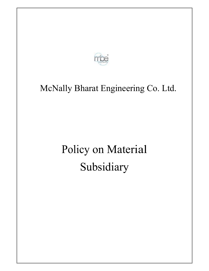

# McNally Bharat Engineering Co. Ltd.

# Policy on Material Subsidiary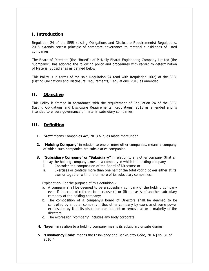### **I. Introduction**

Regulation 24 of the SEBI (Listing Obligations and Disclosure Requirements) Regulations, 2015 extends certain principle of corporate governance to material subsidiaries of listed companies.

The Board of Directors (the "Board") of McNally Bharat Engineering Company Limited (the "Company") has adopted the following policy and procedures with regard to determination of Material Subsidiaries as defined below.

This Policy is in terms of the said Regulation 24 read with Regulation 16(c) of the SEBI (Listing Obligations and Disclosure Requirements) Regulations, 2015 as amended.

#### **II. Objective**

This Policy is framed in accordance with the requirement of Regulation 24 of the SEBI (Listing Obligations and Disclosure Requirements) Regulations, 2015 as amended and is intended to ensure governance of material subsidiary companies.

#### **III. Definition**

- **1. "Act"** means Companies Act, 2013 & rules made thereunder.
- **2. "Holding Company"** in relation to one or more other companies, means a company of which such companies are subsidiaries companies.
- **3. "Subsidiary Company" or "Subsidiary"** in relation to any other company (that is to say the holding company), means a company in which the holding company
	- i. Controls\* the composition of the Board of Directors; or
	- ii. Exercises or controls more than one half of the total voting power either at its own or together with one or more of its subsidiary companies;

Explanation- For the purpose of this definition,-

- a. A company shall be deemed to be a subsidiary company of the holding company even if the control referred to in clause (i) or (ii) above is of another subsidiary company of the holding company;
- b. The composition of a company's Board of Directors shall be deemed to be controlled by another company if that other company by exercise of some power exercisable by it at its discretion can appoint or remove all or a majority of the directors;
- c. The expression "company" includes any body corporate;
- **4.** "**layer**" in relation to a holding company means its subsidiary or subsidiaries;
- **5.** "**Insolvency Code**" means the Insolvency and Bankruptcy Code, 2016 [No. 31 of 2016]"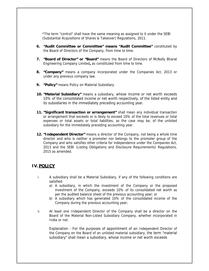\*The term "control" shall have the same meaning as assigned to it under the SEBI (Substantial Acquisitions of Shares & Takeover) Regulations, 2011.

- **6. "Audit Committee or Committee" means "Audit Committee"** constituted by the Board of Directors of the Company, from time to time.
- **7. "Board of Director" or "Board"** means the Board of Directors of McNally Bharat Engineering Company Limited**,** as constituted from time to time.
- **8. "Company"** means a company incorporated under the Companies Act, 2013 or under any previous company law.
- **9. "Policy"** means Policy on Material Subsidiary.
- **10. "Material Subsidiary"** means a subsidiary, whose income or net worth exceeds 10% of the consolidated income or net worth respectively, of the listed entity and its subsidiaries in the immediately preceding accounting year.
- **11. "Significant transaction or arrangement"** shall mean any individual transaction or arrangement that exceeds or is likely to exceed 10% of the total revenues or total expenses or total assets or total liabilities, as the case may be, of the unlisted subsidiary for the immediately preceding accounting year.
- **12. "Independent Director"** means a director of the Company, not being a whole time director and who is neither a promoter nor belongs to the promoter group of the Company and who satisfies other criteria for independence under the Companies Act, 2013 and the SEBI (Listing Obligations and Disclosure Requirements) Regulations, 2015 as amended.

#### **IV. POLICY**

- i. A subsidiary shall be a Material Subsidiary, if any of the following conditions are satisfied:
	- a) A subsidiary, in which the investment of the Company or the proposed investment of the Company, exceeds 10% of its consolidated net worth as per the audited balance sheet of the previous accounting year; or
	- b) A subsidiary which has generated 10% of the consolidated income of the Company during the previous accounting year;
- ii. At least one Independent Director of the Company shall be a director on the Board of the Material Non-Listed Subsidiary Company, whether incorporated in India or not.

Explanation - For the purposes of appointment of an Independent Director of the Company on the Board of an unlisted material subsidiary, the term "material subsidiary" shall mean a subsidiary, whose income or net worth exceeds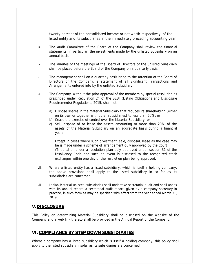twenty percent of the consolidated income or net worth respectively, of the listed entity and its subsidiaries in the immediately preceding accounting year.

- iii. The Audit Committee of the Board of the Company shall review the financial statements, in particular, the investments made by the unlisted Subsidiary on an annual basis.
- iv. The Minutes of the meetings of the Board of Directors of the unlisted Subsidiary shall be placed before the Board of the Company on a quarterly basis.
- v. The management shall on a quarterly basis bring to the attention of the Board of Directors of the Company, a statement of all Significant Transactions and Arrangements entered into by the unlisted Subsidiary.
- vi. The Company, without the prior approval of the members by special resolution as prescribed under Regulation 24 of the SEBI (Listing Obligations and Disclosure Requirements) Regulations, 2015, shall not:
	- a) Dispose shares in the Material Subsidiary that reduces its shareholding (either on its own or together with other subsidiaries) to less than 50%; or
	- b) Cease the exercise of control over the Material Subsidiary; or
	- c) Sell, dispose of or lease the assets amounting to more than 20% of the assets of the Material Subsidiary on an aggregate basis during a financial year;

Except in cases where such divestment, sale, disposal, lease as the case may be is made under a scheme of arrangement duly approved by the Court /Tribunal or under a resolution plan duly approved under section 31 of the Insolvency Code and such an event is disclosed to the recognized stock exchanges within one day of the resolution plan being approved.

- vii. Where a listed entity has a listed subsidiary, which is itself a holding company, the above provisions shall apply to the listed subsidiary in so far as its subsidiaries are concerned.
- viii. Indian Material unlisted subsidiaries shall undertake secretarial audit and shall annex with its annual report, a secretarial audit report, given by a company secretary in practice, in such form as may be specified with effect from the year ended March 31, 2019.

#### **V.DISCLOSURE**

This Policy on determining Material Subsidiary shall be disclosed on the website of the Company and a web link thereto shall be provided in the Annual Report of the Company.

#### **VI. COMPLIANCE BY STEP DOWN SUBSIDIARIES**

Where a company has a listed subsidiary which is itself a holding company, this policy shall apply to the listed subsidiary insofar as its subsidiaries are concerned.